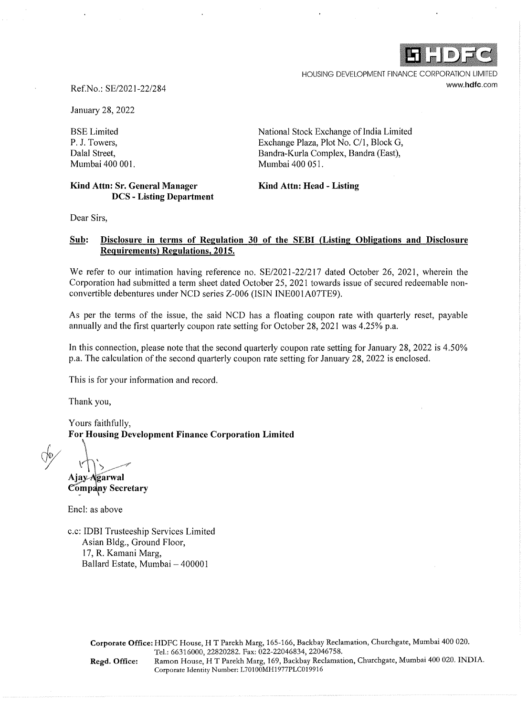HOUSING DEVELOPMENT FINANCE CORPORATION LIMITED www.hdfc.com

## Ref.No.: SE/2021-22/284

January 28, 2022

BSE Limited P. J. Towers, Dalal Street, Mumbai 400 001.

**Kind Attn: Sr. General Manager DCS - Listing Department**  National Stock Exchange of India Limited Exchange Plaza, Plot No. C/1, Block G, Bandra-Kurla Complex, Bandra (East), Mumbai 400 051.

## **Kind Attn: Head - Listing**

Dear Sirs,

## **Sub: Disclosure in terms of Regulation 30 of the SEBI (Listing Obligations and Disclosure Requirements) Regulations, 2015.**

We refer to our intimation having reference no. SE/2021-22/217 dated October 26, 2021, wherein the Corporation had submitted a term sheet dated October 25, 2021 towards issue of secured redeemable nonconvertible debentures under NCD series Z-006 (ISIN INE001A07TE9).

As per the terms of the issue, the said NCD has a floating coupon rate with quarterly reset, payable annually and the first quarterly coupon rate setting for October 28, 2021 was 4.25% p.a.

In this connection, please note that the second quarterly coupon rate setting for January 28, 2022 is 4.50% p.a. The calculation of the second quarterly coupon rate setting for January 28, 2022 is enclosed.

This is for your information and record.

Thank you,

Yours faithfully, **For Housing Development Finance Corporation Limited** 

*dy* 

Ajay Agarwal **Company Secretary** 

Encl: as above

c.c: IDBI Trusteeship Services Limited Asian Bldg., Ground Floor, 17, R. Kamani Marg, Ballard Estate, Mumbai - 400001

> **Corporate Office:** HDFC House, HT Parekh Marg, 165-166, Backbay Reclamation, Churchgate, Mumbai 400 020. Tel.: 66316000, 22820282. Fax: 022-22046834, 22046758. **Regd. Office:** Ramon House, HT Parekh Marg, 169, Backbay Reclamation, Churchgate, Mumbai 400 020. INDIA. Corporate Identity Number: L70100MH1977PLC019916